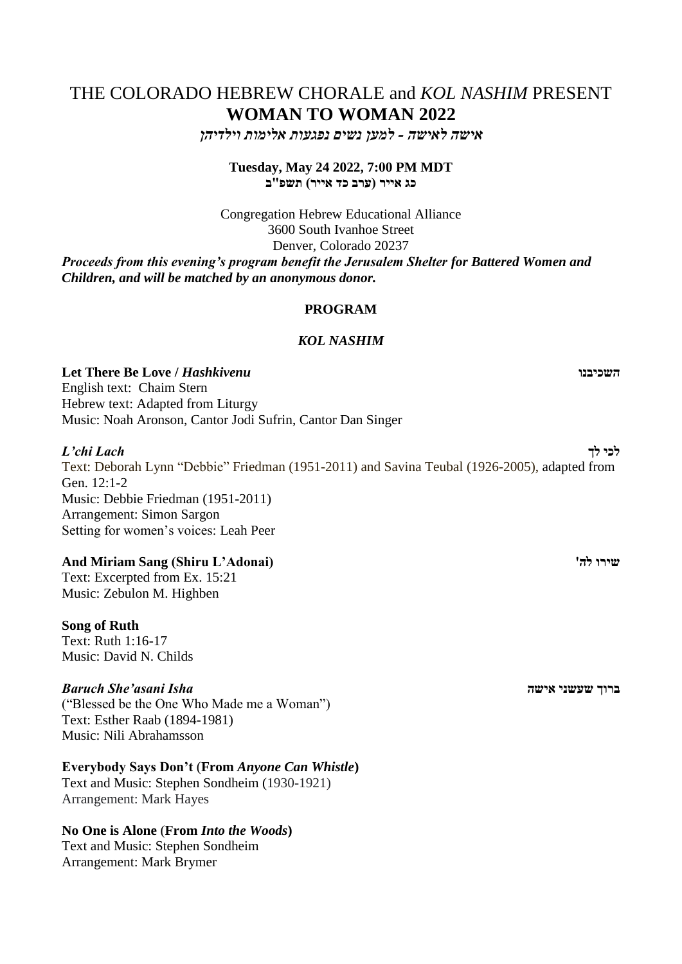# THE COLORADO HEBREW CHORALE and *KOL NASHIM* PRESENT **WOMAN TO WOMAN 2022**

*אישה לאישה - למען נשים נפגעות אלימות וילדיהן*

**Tuesday, May 24 2022, 7:00 PM MDT כג אייר )ערב כד אייר( תשפ"ב**

Congregation Hebrew Educational Alliance 3600 South Ivanhoe Street Denver, Colorado 20237 *Proceeds from this evening's program benefit the Jerusalem Shelter for Battered Women and Children, and will be matched by an anonymous donor.*

# **PROGRAM**

# *KOL NASHIM*

**Let There Be Love /** *Hashkivenu* **השכיבנו**

English text: Chaim Stern Hebrew text: Adapted from Liturgy Music: Noah Aronson, Cantor Jodi Sufrin, Cantor Dan Singer

*L'chi Lach* **לך לכי** Text: Deborah Lynn "Debbie" Friedman (1951-2011) and Savina Teubal (1926-2005), adapted from Gen. 12:1-2 Music: Debbie Friedman (1951-2011) Arrangement: Simon Sargon Setting for women's voices: Leah Peer

# **And Miriam Sang (Shiru L'Adonai) 'לה שירו**

Text: Excerpted from Ex. 15:21 Music: Zebulon M. Highben

# **Song of Ruth**

Text: Ruth 1:16-17 Music: David N. Childs

# *Baruch She'asani Isha* **אישה שעשני ברוך**

("Blessed be the One Who Made me a Woman") Text: Esther Raab (1894-1981) Music: Nili Abrahamsson

# **Everybody Says Don't** (**From** *Anyone Can Whistle***)**

Text and Music: Stephen Sondheim (1930-1921) Arrangement: Mark Hayes

# **No One is Alone** (**From** *Into the Woods***)**

Text and Music: Stephen Sondheim Arrangement: Mark Brymer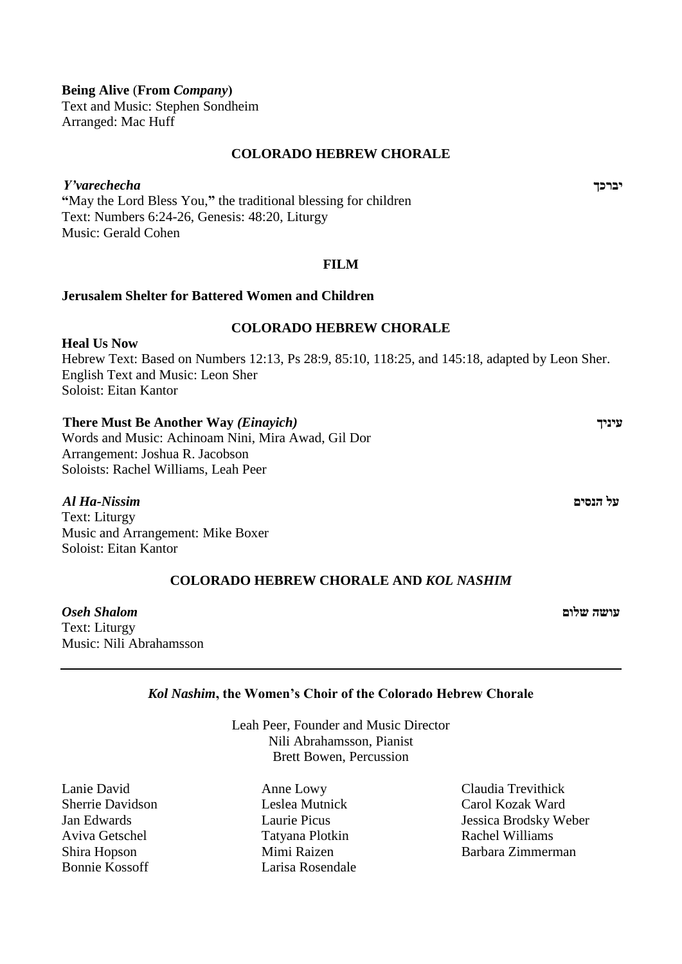# **Being Alive** (**From** *Company***(**

Text and Music: Stephen Sondheim Arranged: Mac Huff

# **COLORADO HEBREW CHORALE**

*Y'varechecha* **יברכך "**May the Lord Bless You,**"** the traditional blessing for children Text: Numbers 6:24-26, Genesis: 48:20, Liturgy Music: Gerald Cohen

# **FILM**

# **Jerusalem Shelter for Battered Women and Children**

# **COLORADO HEBREW CHORALE**

**Heal Us Now** Hebrew Text: Based on Numbers 12:13, Ps 28:9, 85:10, 118:25, and 145:18, adapted by Leon Sher. English Text and Music: Leon Sher Soloist: Eitan Kantor

#### **There Must Be Another Way** *(Einayich)* **עיניך**

Words and Music: Achinoam Nini, Mira Awad, Gil Dor Arrangement: Joshua R. Jacobson Soloists: Rachel Williams, Leah Peer

# *Al Ha-Nissim* **הנסים על**

Text: Liturgy Music and Arrangement: Mike Boxer Soloist: Eitan Kantor

# **COLORADO HEBREW CHORALE AND** *KOL NASHIM*

**עושה שלום** *Shalom Oseh* Text: Liturgy Music: Nili Abrahamsson

# *Kol Nashim***, the Women's Choir of the Colorado Hebrew Chorale**

Leah Peer, Founder and Music Director Nili Abrahamsson, Pianist Brett Bowen, Percussion

Lanie David Sherrie Davidson Jan Edwards Aviva Getschel Shira Hopson Bonnie Kossoff

Anne Lowy Leslea Mutnick Laurie Picus Tatyana Plotkin Mimi Raizen Larisa Rosendale

Claudia Trevithick Carol Kozak Ward Jessica Brodsky Weber Rachel Williams Barbara Zimmerman